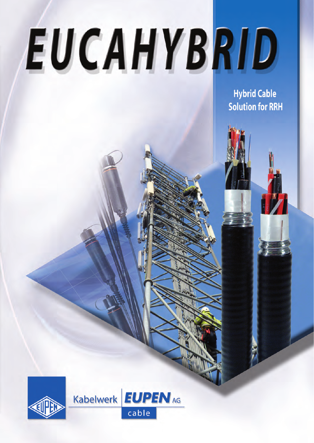# EUCAHYBRID

**Hybrid Cable Solution for RRH** 



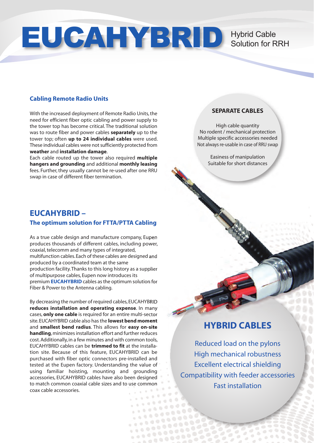## EUCAHYBRID Hybrid Cable<br>Solution for R

### Solution for RRH

#### **Cabling Remote Radio Units**

With the increased deployment of Remote Radio Units, the need for efficient fiber optic cabling and power supply to the tower top has become critical. The traditional solution was to route fiber and power cables **separately** up to the tower top; often **up to 24 individual cables** were used. These individual cables were not sufficiently protected from **weather** and **installation damage**.

Each cable routed up the tower also required **multiple hangers and grounding** and additional **monthly leasing** fees. Further, they usually cannot be re-used after one RRU swap in case of different fiber termination.

#### **SEPARATE CABLES**

High cable quantity No rodent / mechanical protection Multiple specific accessories needed Not always re-usable in case of RRU swap

> Easiness of manipulation Suitable for short distances

#### **EUCAHYBRID – The optimum solution for FTTA/PTTA Cabling**

As a true cable design and manufacture company, Eupen produces thousands of different cables, including power, coaxial, telecomm and many types of integrated, multifunction cables. Each of these cables are designed and produced by a coordinated team at the same production facility. Thanks to this long history as a supplier of multipurpose cables, Eupen now introduces its premium **EUCAHYBRID** cables as the optimum solution for Fiber & Power to the Antenna cabling.

By decreasing the number of required cables, EUCAHYBRID **reduces installation and operating expense**. In many cases, **only one cable** is required for an entire multi-sector site. EUCAHYBRID cable also has the **lowest bend moment** and **smallest bend radius**. This allows for **easy on-site handling**, minimizes installation effort and further reduces cost. Additionally, in a few minutes and with common tools, EUCAHYBRID cables can be **trimmed to fit** at the installation site. Because of this feature, EUCAHYBRID can be purchased with fiber optic connectors pre-installed and tested at the Eupen factory. Understanding the value of using familiar hoisting, mounting and grounding accessories, EUCAHYBRID cables have also been designed to match common coaxial cable sizes and to use common coax cable accessories.

> $1.1002$

 $0.002$ 

#### **HYBRID CABLES**

Reduced load on the pylons High mechanical robustness Excellent electrical shielding Compatibility with feeder accessories Fast installation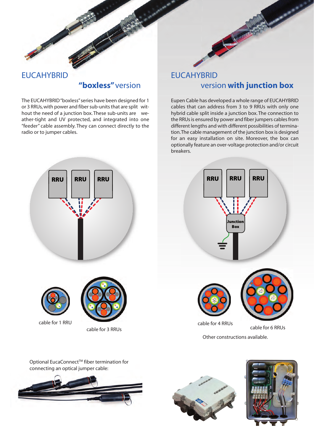



#### EUCAHYBRID **"boxless"** version

The EUCAHYBRID "boxless" series have been designed for 1 or 3 RRUs, with power and fiber sub-units that are split without the need of a junction box. These sub-units are weather-tight and UV protected, and integrated into one "feeder" cable assembly. They can connect directly to the radio or to jumper cables.

#### EUCAHYBRID version **with junction box**

Eupen Cable has developed a whole range of EUCAHYBRID cables that can address from 3 to 9 RRUs with only one hybrid cable split inside a junction box. The connection to the RRUs is ensured by power and fiber jumpers cables from different lengths and with different possibilities of termination. The cable management of the junction box is designed for an easy installation on site. Moreover, the box can optionally feature an over-voltage protection and/or circuit breakers.







Optional EucaConnect<sup>™</sup> fiber termination for connecting an optical jumper cable: